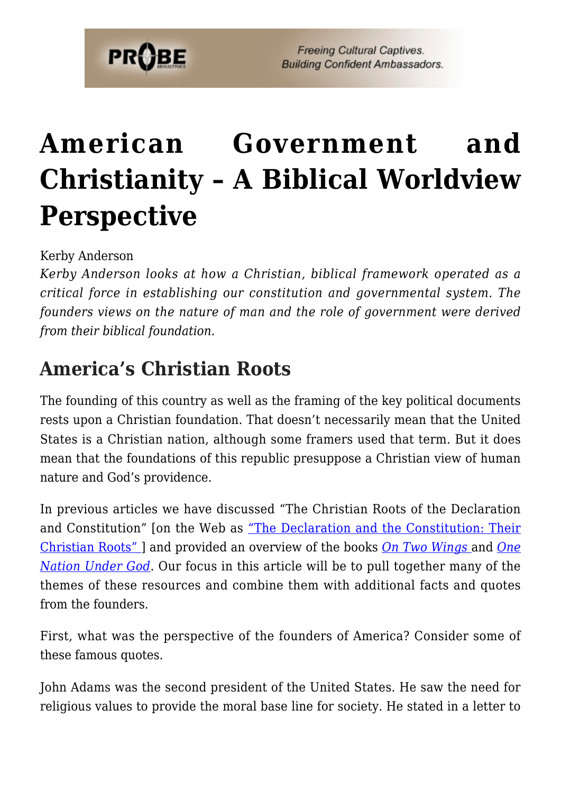

**Freeing Cultural Captives. Building Confident Ambassadors.** 

# **[American Government and](https://probe.org/american-government-and-christianity/) [Christianity – A Biblical Worldview](https://probe.org/american-government-and-christianity/) [Perspective](https://probe.org/american-government-and-christianity/)**

Kerby Anderson

*Kerby Anderson looks at how a Christian, biblical framework operated as a critical force in establishing our constitution and governmental system. The founders views on the nature of man and the role of government were derived from their biblical foundation.*

### **America's Christian Roots**

The founding of this country as well as the framing of the key political documents rests upon a Christian foundation. That doesn't necessarily mean that the United States is a Christian nation, although some framers used that term. But it does mean that the foundations of this republic presuppose a Christian view of human nature and God's providence.

In previous articles we have discussed "The Christian Roots of the Declaration and Constitution" [on the Web as ["The Declaration and the Constitution: Their](https://www.probe.org/the-declaration-and-constitution-their-christian-roots/) [Christian Roots" \]](https://www.probe.org/the-declaration-and-constitution-their-christian-roots/) and provided an overview of the books *[On Two Wings](https://www.probe.org/on-two-wings/)* and *[One](https://www.probe.org/one-nation-under-god/) [Nation Under God](https://www.probe.org/one-nation-under-god/)*. Our focus in this article will be to pull together many of the themes of these resources and combine them with additional facts and quotes from the founders.

First, what was the perspective of the founders of America? Consider some of these famous quotes.

John Adams was the second president of the United States. He saw the need for religious values to provide the moral base line for society. He stated in a letter to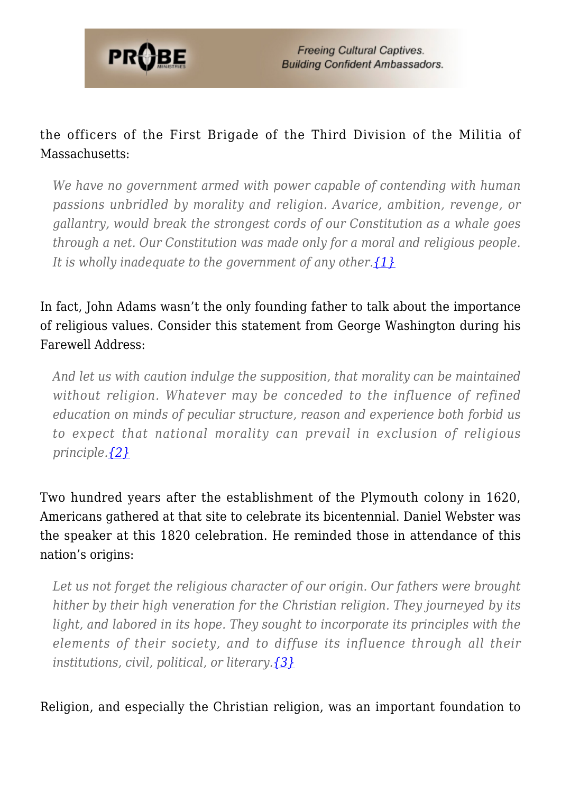

#### the officers of the First Brigade of the Third Division of the Militia of Massachusetts:

*We have no government armed with power capable of contending with human passions unbridled by morality and religion. Avarice, ambition, revenge, or gallantry, would break the strongest cords of our Constitution as a whale goes through a net. Our Constitution was made only for a moral and religious people. It is wholly inadequate to the government of any other[.{1}](#page--1-0)*

In fact, John Adams wasn't the only founding father to talk about the importance of religious values. Consider this statement from George Washington during his Farewell Address:

*And let us with caution indulge the supposition, that morality can be maintained without religion. Whatever may be conceded to the influence of refined education on minds of peculiar structure, reason and experience both forbid us to expect that national morality can prevail in exclusion of religious principle.[{2}](#page--1-0)*

Two hundred years after the establishment of the Plymouth colony in 1620, Americans gathered at that site to celebrate its bicentennial. Daniel Webster was the speaker at this 1820 celebration. He reminded those in attendance of this nation's origins:

*Let us not forget the religious character of our origin. Our fathers were brought hither by their high veneration for the Christian religion. They journeyed by its light, and labored in its hope. They sought to incorporate its principles with the elements of their society, and to diffuse its influence through all their institutions, civil, political, or literary.[{3}](#page--1-0)*

Religion, and especially the Christian religion, was an important foundation to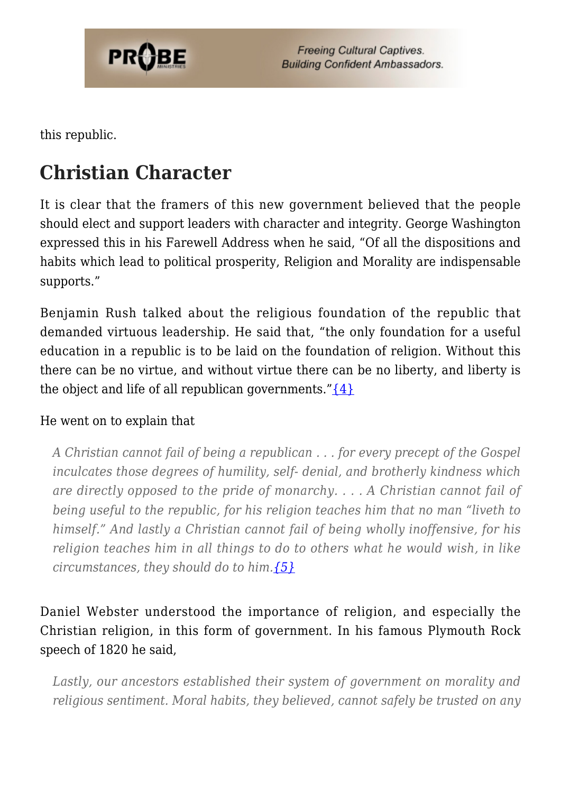

**Freeing Cultural Captives. Building Confident Ambassadors.** 

this republic.

# **Christian Character**

It is clear that the framers of this new government believed that the people should elect and support leaders with character and integrity. George Washington expressed this in his Farewell Address when he said, "Of all the dispositions and habits which lead to political prosperity, Religion and Morality are indispensable supports."

Benjamin Rush talked about the religious foundation of the republic that demanded virtuous leadership. He said that, "the only foundation for a useful education in a republic is to be laid on the foundation of religion. Without this there can be no virtue, and without virtue there can be no liberty, and liberty is the object and life of all republican governments." $\{4\}$ 

#### He went on to explain that

*A Christian cannot fail of being a republican . . . for every precept of the Gospel inculcates those degrees of humility, self- denial, and brotherly kindness which are directly opposed to the pride of monarchy. . . . A Christian cannot fail of being useful to the republic, for his religion teaches him that no man "liveth to himself." And lastly a Christian cannot fail of being wholly inoffensive, for his religion teaches him in all things to do to others what he would wish, in like circumstances, they should do to him[.{5}](#page--1-0)*

Daniel Webster understood the importance of religion, and especially the Christian religion, in this form of government. In his famous Plymouth Rock speech of 1820 he said,

*Lastly, our ancestors established their system of government on morality and religious sentiment. Moral habits, they believed, cannot safely be trusted on any*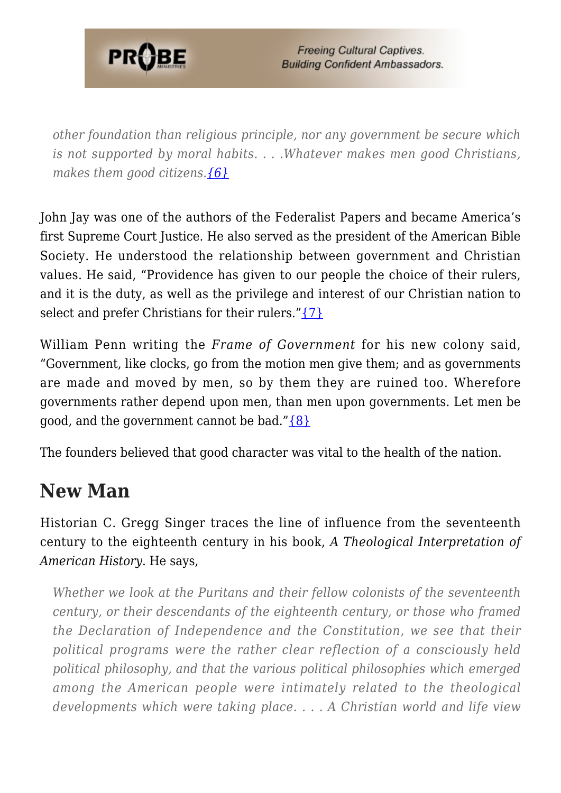**PROBE** 

*other foundation than religious principle, nor any government be secure which is not supported by moral habits. . . .Whatever makes men good Christians, makes them good citizens.[{6}](#page--1-0)*

John Jay was one of the authors of the Federalist Papers and became America's first Supreme Court Justice. He also served as the president of the American Bible Society. He understood the relationship between government and Christian values. He said, "Providence has given to our people the choice of their rulers, and it is the duty, as well as the privilege and interest of our Christian nation to select and prefer Christians for their rulers." ${7}$ }

William Penn writing the *Frame of Government* for his new colony said, "Government, like clocks, go from the motion men give them; and as governments are made and moved by men, so by them they are ruined too. Wherefore governments rather depend upon men, than men upon governments. Let men be good, and the government cannot be bad." ${8}$ 

The founders believed that good character was vital to the health of the nation.

# **New Man**

Historian C. Gregg Singer traces the line of influence from the seventeenth century to the eighteenth century in his book, *A Theological Interpretation of American History*. He says,

*Whether we look at the Puritans and their fellow colonists of the seventeenth century, or their descendants of the eighteenth century, or those who framed the Declaration of Independence and the Constitution, we see that their political programs were the rather clear reflection of a consciously held political philosophy, and that the various political philosophies which emerged among the American people were intimately related to the theological developments which were taking place. . . . A Christian world and life view*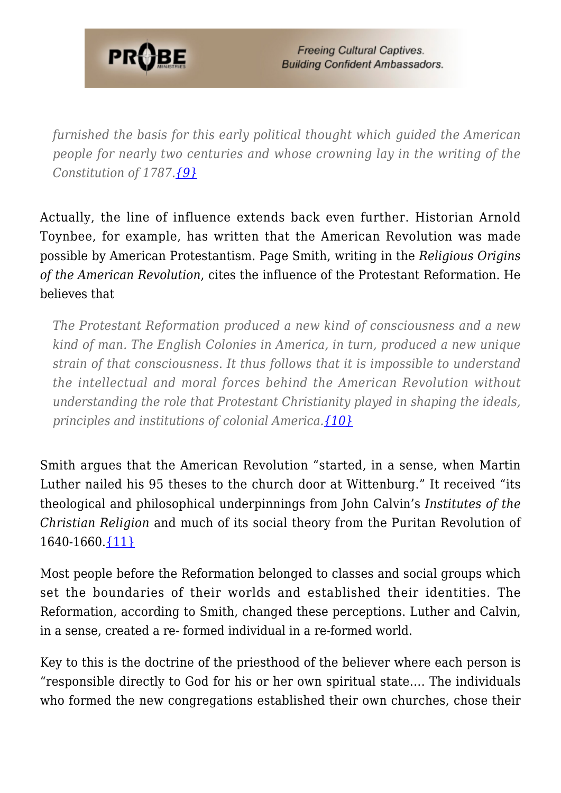

*furnished the basis for this early political thought which guided the American people for nearly two centuries and whose crowning lay in the writing of the Constitution of 1787[.{9}](#page--1-0)*

Actually, the line of influence extends back even further. Historian Arnold Toynbee, for example, has written that the American Revolution was made possible by American Protestantism. Page Smith, writing in the *Religious Origins of the American Revolution*, cites the influence of the Protestant Reformation. He believes that

*The Protestant Reformation produced a new kind of consciousness and a new kind of man. The English Colonies in America, in turn, produced a new unique strain of that consciousness. It thus follows that it is impossible to understand the intellectual and moral forces behind the American Revolution without understanding the role that Protestant Christianity played in shaping the ideals, principles and institutions of colonial America.[{10}](#page--1-0)*

Smith argues that the American Revolution "started, in a sense, when Martin Luther nailed his 95 theses to the church door at Wittenburg." It received "its theological and philosophical underpinnings from John Calvin's *Institutes of the Christian Religion* and much of its social theory from the Puritan Revolution of 1640-1660[.{11}](#page--1-0)

Most people before the Reformation belonged to classes and social groups which set the boundaries of their worlds and established their identities. The Reformation, according to Smith, changed these perceptions. Luther and Calvin, in a sense, created a re- formed individual in a re-formed world.

Key to this is the doctrine of the priesthood of the believer where each person is "responsible directly to God for his or her own spiritual state…. The individuals who formed the new congregations established their own churches, chose their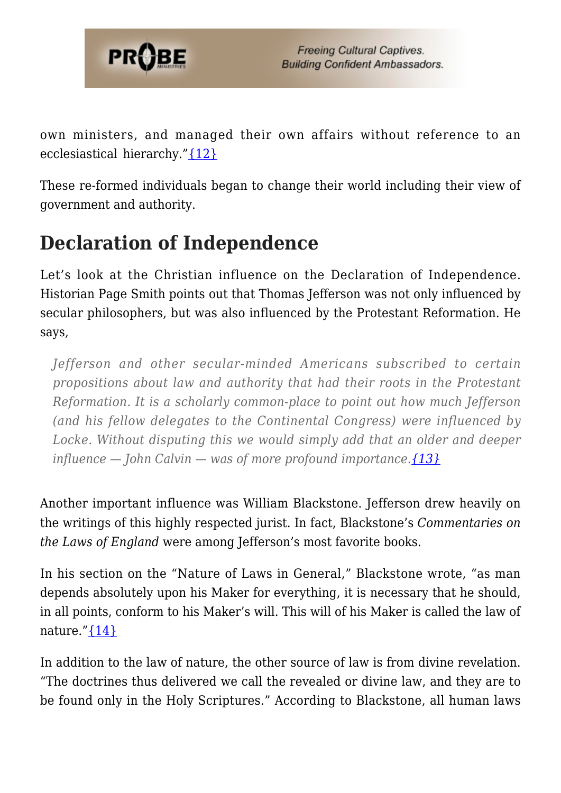

own ministers, and managed their own affairs without reference to an ecclesiastical hierarchy."[{12}](#page--1-0)

These re-formed individuals began to change their world including their view of government and authority.

# **Declaration of Independence**

Let's look at the Christian influence on the Declaration of Independence. Historian Page Smith points out that Thomas Jefferson was not only influenced by secular philosophers, but was also influenced by the Protestant Reformation. He says,

*Jefferson and other secular-minded Americans subscribed to certain propositions about law and authority that had their roots in the Protestant Reformation. It is a scholarly common-place to point out how much Jefferson (and his fellow delegates to the Continental Congress) were influenced by Locke. Without disputing this we would simply add that an older and deeper influence — John Calvin — was of more profound importance.[{13}](#page--1-0)*

Another important influence was William Blackstone. Jefferson drew heavily on the writings of this highly respected jurist. In fact, Blackstone's *Commentaries on the Laws of England* were among Jefferson's most favorite books.

In his section on the "Nature of Laws in General," Blackstone wrote, "as man depends absolutely upon his Maker for everything, it is necessary that he should, in all points, conform to his Maker's will. This will of his Maker is called the law of nature." $\{14\}$ 

In addition to the law of nature, the other source of law is from divine revelation. "The doctrines thus delivered we call the revealed or divine law, and they are to be found only in the Holy Scriptures." According to Blackstone, all human laws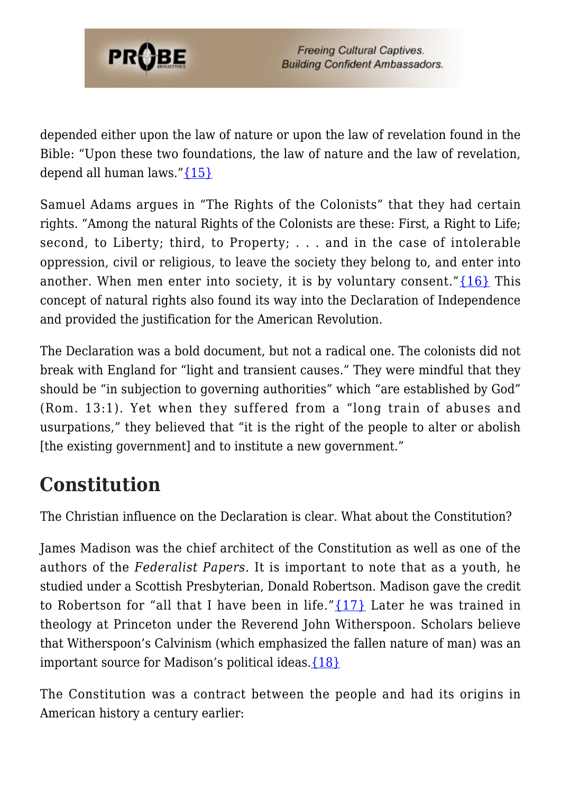

depended either upon the law of nature or upon the law of revelation found in the Bible: "Upon these two foundations, the law of nature and the law of revelation, depend all human laws."[{15}](#page--1-0)

Samuel Adams argues in "The Rights of the Colonists" that they had certain rights. "Among the natural Rights of the Colonists are these: First, a Right to Life; second, to Liberty; third, to Property; . . . and in the case of intolerable oppression, civil or religious, to leave the society they belong to, and enter into another. When men enter into society, it is by voluntary consent." $\{16\}$  This concept of natural rights also found its way into the Declaration of Independence and provided the justification for the American Revolution.

The Declaration was a bold document, but not a radical one. The colonists did not break with England for "light and transient causes." They were mindful that they should be "in subjection to governing authorities" which "are established by God" (Rom. 13:1). Yet when they suffered from a "long train of abuses and usurpations," they believed that "it is the right of the people to alter or abolish [the existing government] and to institute a new government."

## **Constitution**

The Christian influence on the Declaration is clear. What about the Constitution?

James Madison was the chief architect of the Constitution as well as one of the authors of the *Federalist Papers*. It is important to note that as a youth, he studied under a Scottish Presbyterian, Donald Robertson. Madison gave the credit to Robertson for "all that I have been in life." $\{17\}$  Later he was trained in theology at Princeton under the Reverend John Witherspoon. Scholars believe that Witherspoon's Calvinism (which emphasized the fallen nature of man) was an important source for Madison's political ideas. ${18}$ 

The Constitution was a contract between the people and had its origins in American history a century earlier: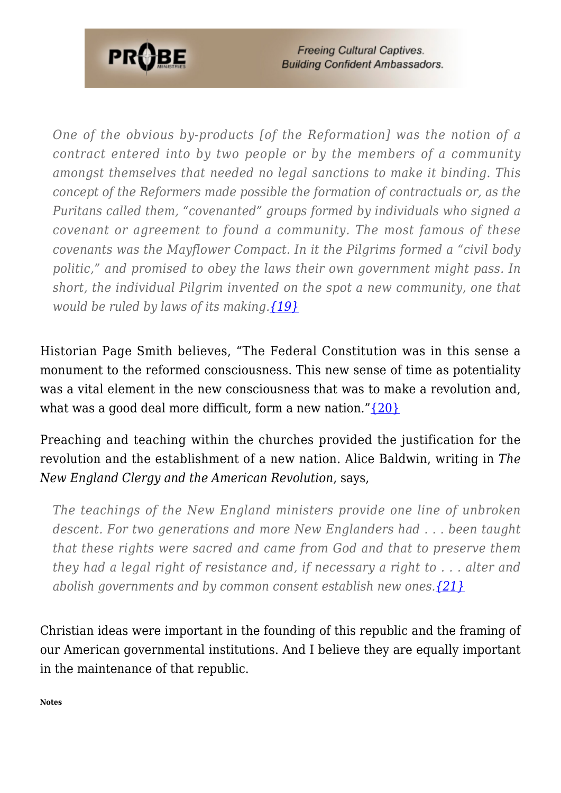

*One of the obvious by-products [of the Reformation] was the notion of a contract entered into by two people or by the members of a community amongst themselves that needed no legal sanctions to make it binding. This concept of the Reformers made possible the formation of contractuals or, as the Puritans called them, "covenanted" groups formed by individuals who signed a covenant or agreement to found a community. The most famous of these covenants was the Mayflower Compact. In it the Pilgrims formed a "civil body politic," and promised to obey the laws their own government might pass. In short, the individual Pilgrim invented on the spot a new community, one that would be ruled by laws of its making[.{19}](#page--1-0)*

Historian Page Smith believes, "The Federal Constitution was in this sense a monument to the reformed consciousness. This new sense of time as potentiality was a vital element in the new consciousness that was to make a revolution and, what was a good deal more difficult, form a new nation." $\{20\}$ 

Preaching and teaching within the churches provided the justification for the revolution and the establishment of a new nation. Alice Baldwin, writing in *The New England Clergy and the American Revolution*, says,

*The teachings of the New England ministers provide one line of unbroken descent. For two generations and more New Englanders had . . . been taught that these rights were sacred and came from God and that to preserve them they had a legal right of resistance and, if necessary a right to . . . alter and abolish governments and by common consent establish new ones[.{21}](#page--1-0)*

Christian ideas were important in the founding of this republic and the framing of our American governmental institutions. And I believe they are equally important in the maintenance of that republic.

**Notes**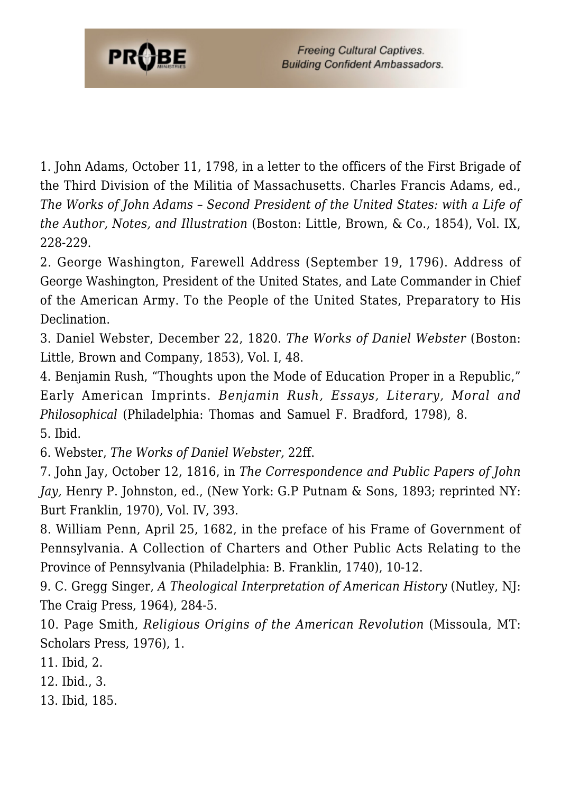1. John Adams, October 11, 1798, in a letter to the officers of the First Brigade of the Third Division of the Militia of Massachusetts. Charles Francis Adams, ed., *The Works of John Adams – Second President of the United States: with a Life of the Author, Notes, and Illustration* (Boston: Little, Brown, & Co., 1854), Vol. IX, 228-229.

2. George Washington, Farewell Address (September 19, 1796). Address of George Washington, President of the United States, and Late Commander in Chief of the American Army. To the People of the United States, Preparatory to His Declination.

3. Daniel Webster, December 22, 1820. *The Works of Daniel Webster* (Boston: Little, Brown and Company, 1853), Vol. I, 48.

4. Benjamin Rush, "Thoughts upon the Mode of Education Proper in a Republic," Early American Imprints. *Benjamin Rush, Essays, Literary, Moral and Philosophical* (Philadelphia: Thomas and Samuel F. Bradford, 1798), 8. 5. Ibid.

6. Webster, *The Works of Daniel Webster,* 22ff.

7. John Jay, October 12, 1816, in *The Correspondence and Public Papers of John Jay,* Henry P. Johnston, ed., (New York: G.P Putnam & Sons, 1893; reprinted NY: Burt Franklin, 1970), Vol. IV, 393.

8. William Penn, April 25, 1682, in the preface of his Frame of Government of Pennsylvania. A Collection of Charters and Other Public Acts Relating to the Province of Pennsylvania (Philadelphia: B. Franklin, 1740), 10-12.

9. C. Gregg Singer, *A Theological Interpretation of American History* (Nutley, NJ: The Craig Press, 1964), 284-5.

10. Page Smith, *Religious Origins of the American Revolution* (Missoula, MT: Scholars Press, 1976), 1.

- 11. Ibid, 2.
- 12. Ibid., 3.
- 13. Ibid, 185.